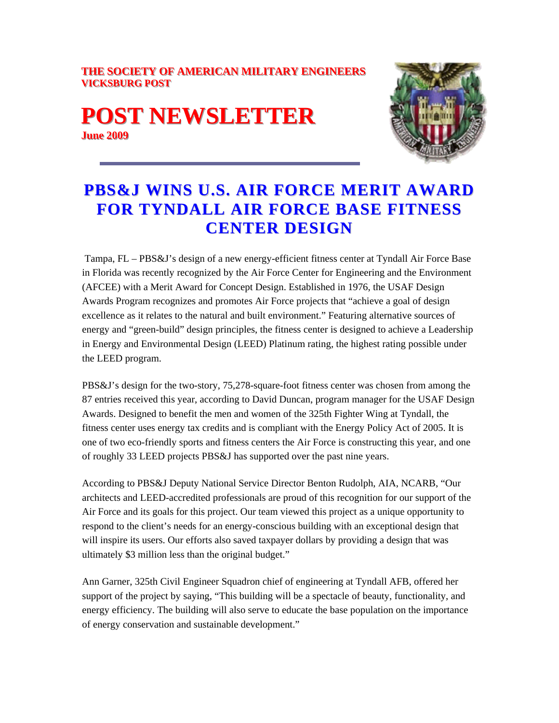#### **THE SOCIETY OF AMERICAN MILITARY ENGINEERS VICKSBURG POST**

## **POST NEWSLETTER June 2009**



# **PBS&J WINS U.S. AIR FORCE MERIT AWARD FOR TYNDALL AIR FORCE BASE FITNESS CENTER DESIGN**

 Tampa, FL – PBS&J's design of a new energy-efficient fitness center at Tyndall Air Force Base in Florida was recently recognized by the Air Force Center for Engineering and the Environment (AFCEE) with a Merit Award for Concept Design. Established in 1976, the USAF Design Awards Program recognizes and promotes Air Force projects that "achieve a goal of design excellence as it relates to the natural and built environment." Featuring alternative sources of energy and "green-build" design principles, the fitness center is designed to achieve a Leadership in Energy and Environmental Design (LEED) Platinum rating, the highest rating possible under the LEED program.

PBS&J's design for the two-story, 75,278-square-foot fitness center was chosen from among the 87 entries received this year, according to David Duncan, program manager for the USAF Design Awards. Designed to benefit the men and women of the 325th Fighter Wing at Tyndall, the fitness center uses energy tax credits and is compliant with the Energy Policy Act of 2005. It is one of two eco-friendly sports and fitness centers the Air Force is constructing this year, and one of roughly 33 LEED projects PBS&J has supported over the past nine years.

According to PBS&J Deputy National Service Director Benton Rudolph, AIA, NCARB, "Our architects and LEED-accredited professionals are proud of this recognition for our support of the Air Force and its goals for this project. Our team viewed this project as a unique opportunity to respond to the client's needs for an energy-conscious building with an exceptional design that will inspire its users. Our efforts also saved taxpayer dollars by providing a design that was ultimately \$3 million less than the original budget."

Ann Garner, 325th Civil Engineer Squadron chief of engineering at Tyndall AFB, offered her support of the project by saying, "This building will be a spectacle of beauty, functionality, and energy efficiency. The building will also serve to educate the base population on the importance of energy conservation and sustainable development."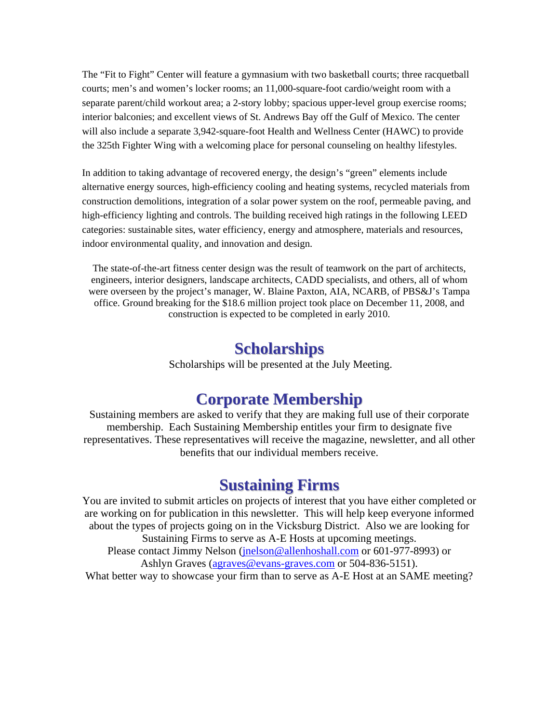The "Fit to Fight" Center will feature a gymnasium with two basketball courts; three racquetball courts; men's and women's locker rooms; an 11,000-square-foot cardio/weight room with a separate parent/child workout area; a 2-story lobby; spacious upper-level group exercise rooms; interior balconies; and excellent views of St. Andrews Bay off the Gulf of Mexico. The center will also include a separate 3,942-square-foot Health and Wellness Center (HAWC) to provide the 325th Fighter Wing with a welcoming place for personal counseling on healthy lifestyles.

In addition to taking advantage of recovered energy, the design's "green" elements include alternative energy sources, high-efficiency cooling and heating systems, recycled materials from construction demolitions, integration of a solar power system on the roof, permeable paving, and high-efficiency lighting and controls. The building received high ratings in the following LEED categories: sustainable sites, water efficiency, energy and atmosphere, materials and resources, indoor environmental quality, and innovation and design.

The state-of-the-art fitness center design was the result of teamwork on the part of architects, engineers, interior designers, landscape architects, CADD specialists, and others, all of whom were overseen by the project's manager, W. Blaine Paxton, AIA, NCARB, of PBS&J's Tampa office. Ground breaking for the \$18.6 million project took place on December 11, 2008, and construction is expected to be completed in early 2010.

#### **Scholarships**

Scholarships will be presented at the July Meeting.

### **Corporate Membership**

Sustaining members are asked to verify that they are making full use of their corporate membership. Each Sustaining Membership entitles your firm to designate five representatives. These representatives will receive the magazine, newsletter, and all other benefits that our individual members receive.

#### **Sustaining Firms**

You are invited to submit articles on projects of interest that you have either completed or are working on for publication in this newsletter. This will help keep everyone informed about the types of projects going on in the Vicksburg District. Also we are looking for Sustaining Firms to serve as A-E Hosts at upcoming meetings. Please contact Jimmy Nelson (jnelson@allenhoshall.com or 601-977-8993) or Ashlyn Graves (agraves@evans-graves.com or 504-836-5151). What better way to showcase your firm than to serve as A-E Host at an SAME meeting?